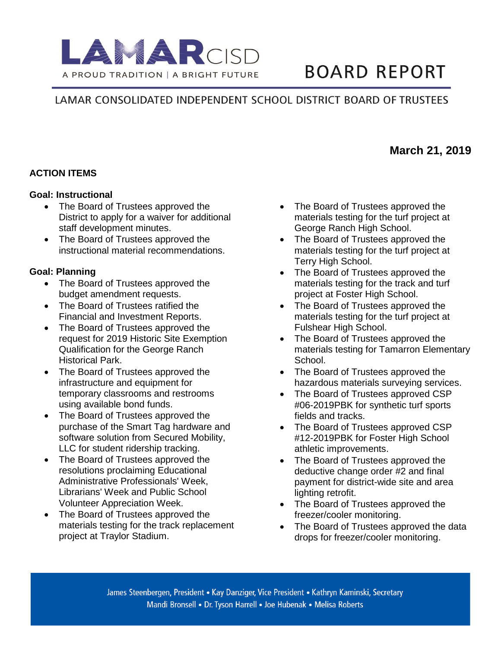

# **BOARD REPORT**

# LAMAR CONSOLIDATED INDEPENDENT SCHOOL DISTRICT BOARD OF TRUSTEES

#### **ACTION ITEMS**

#### **Goal: Instructional**

- The Board of Trustees approved the District to apply for a waiver for additional staff development minutes.
- The Board of Trustees approved the instructional material recommendations.

#### **Goal: Planning**

- The Board of Trustees approved the budget amendment requests.
- The Board of Trustees ratified the Financial and Investment Reports.
- The Board of Trustees approved the request for 2019 Historic Site Exemption Qualification for the George Ranch Historical Park.
- The Board of Trustees approved the infrastructure and equipment for temporary classrooms and restrooms using available bond funds.
- The Board of Trustees approved the purchase of the Smart Tag hardware and software solution from Secured Mobility, LLC for student ridership tracking.
- The Board of Trustees approved the resolutions proclaiming Educational Administrative Professionals' Week, Librarians' Week and Public School Volunteer Appreciation Week.
- The Board of Trustees approved the materials testing for the track replacement project at Traylor Stadium.
- The Board of Trustees approved the materials testing for the turf project at George Ranch High School.
- The Board of Trustees approved the materials testing for the turf project at Terry High School.
- The Board of Trustees approved the materials testing for the track and turf project at Foster High School.
- The Board of Trustees approved the materials testing for the turf project at Fulshear High School.
- The Board of Trustees approved the materials testing for Tamarron Elementary School.
- The Board of Trustees approved the hazardous materials surveying services.
- The Board of Trustees approved CSP #06-2019PBK for synthetic turf sports fields and tracks.
- The Board of Trustees approved CSP #12-2019PBK for Foster High School athletic improvements.
- The Board of Trustees approved the deductive change order #2 and final payment for district-wide site and area lighting retrofit.
- The Board of Trustees approved the freezer/cooler monitoring.
- The Board of Trustees approved the data drops for freezer/cooler monitoring.

## **March 21, 2019**